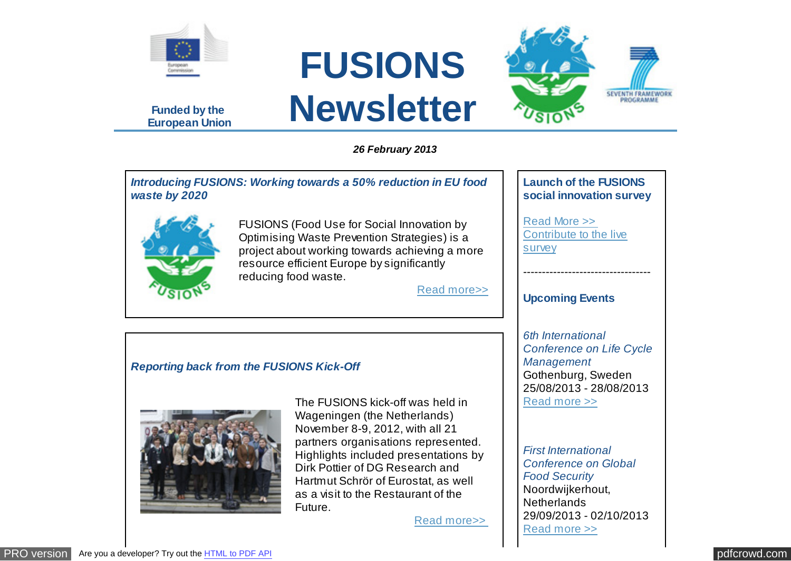

**Funded by the European Union**

# **FUSIONS Newsletter**



*Introducing FUSIONS: Working towards a 50% reduction in EU food waste by 2020*



FUSIONS (Food Use for Social Innovation by Optimising Waste Prevention Strategies) is a project about working towards achieving a more resource efficient Europe by significantly reducing food waste.

[Read more>>](http://www.eu-fusions.org/news/introducing-fusions-working-towards-a-50-reduction-in-eu-food-waste-by-2020)

## **Launch of the FUSIONS social innovation survey**

SEVENTH FRAMEWORK

[Read More >>](http://www.eu-fusions.org/news/launch-of-the-fusions-social-innovation-survey)  [Contribute to the live](http://www.surveymonkey.com/s/5X2FKW9) survey

----------------------------------

## **Upcoming Events**

*6th International Conference on Life Cycle Management*  Gothenburg, Sweden 25/08/2013 - 28/08/2013 [Read more >>](http://www.eu-fusions.org/events/6th-international-conference-on-life-cycle-management-2013-08-25)

*First International Conference on Global Food Security*  Noordwijkerhout, **Netherlands** 29/09/2013 - 02/10/2013 [Read more >>](http://www.eu-fusions.org/events/first-international-conference-on-global-food-security-2013-09-29)

## *Reporting back from the FUSIONS Kick-Off*



The FUSIONS kick-off was held in Wageningen (the Netherlands) November 8-9, 2012, with all 21 partners organisations represented. Highlights included presentations by Dirk Pottier of DG Research and Hartmut Schrör of Eurostat, as well as a visit to the Restaurant of the Future.

[Read more>>](http://www.eu-fusions.org/news/reporting-back-from-the-fusions-kick-off)